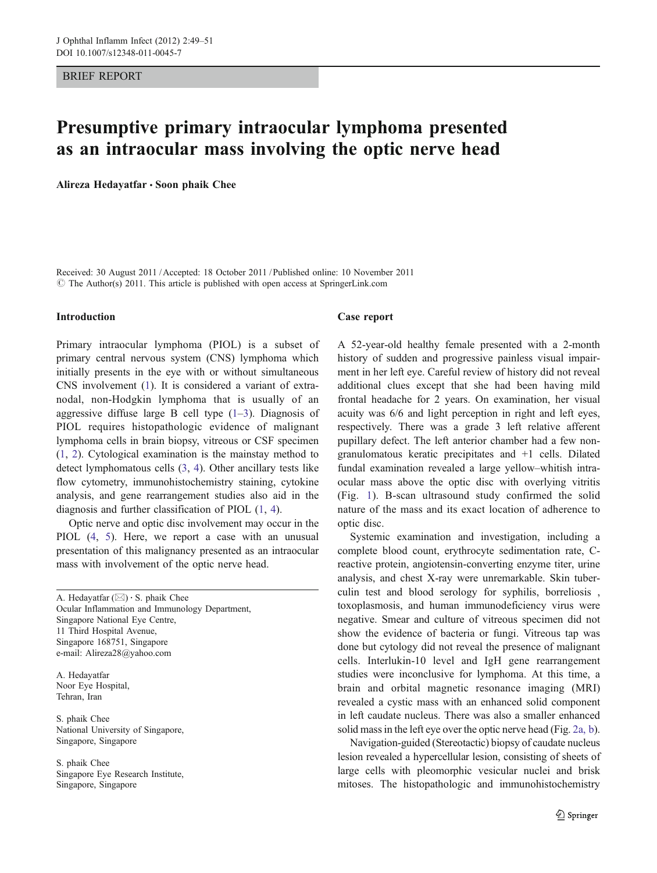#### BRIEF REPORT

## Presumptive primary intraocular lymphoma presented as an intraocular mass involving the optic nerve head

Alireza Hedayatfar · Soon phaik Chee

Received: 30 August 2011 /Accepted: 18 October 2011 / Published online: 10 November 2011  $\odot$  The Author(s) 2011. This article is published with open access at SpringerLink.com

#### Introduction

Primary intraocular lymphoma (PIOL) is a subset of primary central nervous system (CNS) lymphoma which initially presents in the eye with or without simultaneous CNS involvement [\(1](#page-2-0)). It is considered a variant of extranodal, non-Hodgkin lymphoma that is usually of an aggressive diffuse large B cell type  $(1-3)$  $(1-3)$  $(1-3)$  $(1-3)$ . Diagnosis of PIOL requires histopathologic evidence of malignant lymphoma cells in brain biopsy, vitreous or CSF specimen [\(1](#page-2-0), [2](#page-2-0)). Cytological examination is the mainstay method to detect lymphomatous cells ([3,](#page-2-0) [4\)](#page-2-0). Other ancillary tests like flow cytometry, immunohistochemistry staining, cytokine analysis, and gene rearrangement studies also aid in the diagnosis and further classification of PIOL ([1,](#page-2-0) [4](#page-2-0)).

Optic nerve and optic disc involvement may occur in the PIOL [\(4](#page-2-0), [5](#page-2-0)). Here, we report a case with an unusual presentation of this malignancy presented as an intraocular mass with involvement of the optic nerve head.

A. Hedayatfar  $(\boxtimes) \cdot$  S. phaik Chee Ocular Inflammation and Immunology Department, Singapore National Eye Centre, 11 Third Hospital Avenue, Singapore 168751, Singapore e-mail: Alireza28@yahoo.com

A. Hedayatfar Noor Eye Hospital, Tehran, Iran

S. phaik Chee National University of Singapore, Singapore, Singapore

S. phaik Chee Singapore Eye Research Institute, Singapore, Singapore

#### Case report

A 52-year-old healthy female presented with a 2-month history of sudden and progressive painless visual impairment in her left eye. Careful review of history did not reveal additional clues except that she had been having mild frontal headache for 2 years. On examination, her visual acuity was 6/6 and light perception in right and left eyes, respectively. There was a grade 3 left relative afferent pupillary defect. The left anterior chamber had a few nongranulomatous keratic precipitates and +1 cells. Dilated fundal examination revealed a large yellow–whitish intraocular mass above the optic disc with overlying vitritis (Fig. [1\)](#page-1-0). B-scan ultrasound study confirmed the solid nature of the mass and its exact location of adherence to optic disc.

Systemic examination and investigation, including a complete blood count, erythrocyte sedimentation rate, Creactive protein, angiotensin-converting enzyme titer, urine analysis, and chest X-ray were unremarkable. Skin tuberculin test and blood serology for syphilis, borreliosis , toxoplasmosis, and human immunodeficiency virus were negative. Smear and culture of vitreous specimen did not show the evidence of bacteria or fungi. Vitreous tap was done but cytology did not reveal the presence of malignant cells. Interlukin-10 level and IgH gene rearrangement studies were inconclusive for lymphoma. At this time, a brain and orbital magnetic resonance imaging (MRI) revealed a cystic mass with an enhanced solid component in left caudate nucleus. There was also a smaller enhanced solid mass in the left eye over the optic nerve head (Fig. [2a, b\)](#page-1-0).

Navigation-guided (Stereotactic) biopsy of caudate nucleus lesion revealed a hypercellular lesion, consisting of sheets of large cells with pleomorphic vesicular nuclei and brisk mitoses. The histopathologic and immunohistochemistry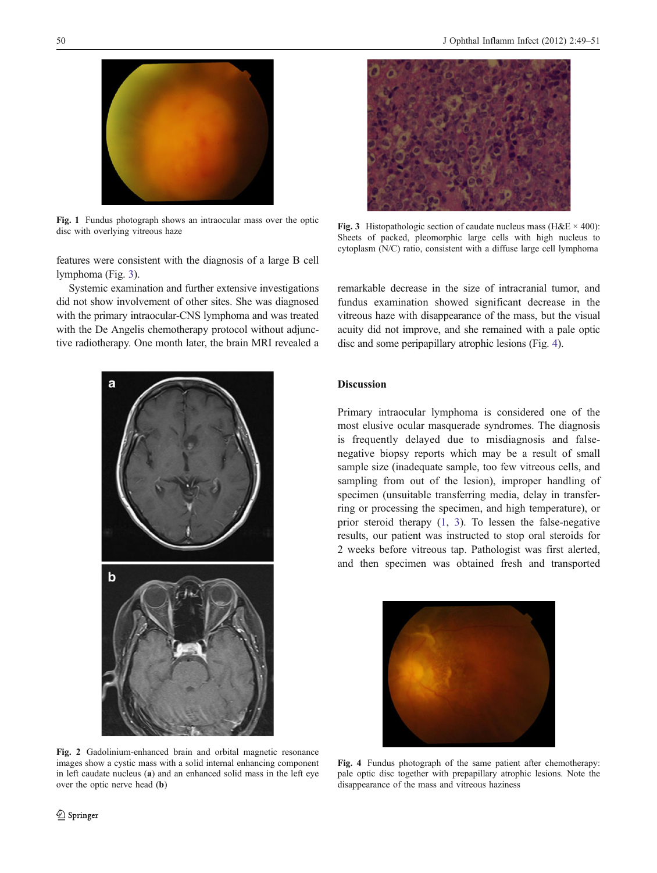<span id="page-1-0"></span>

Fig. 1 Fundus photograph shows an intraocular mass over the optic disc with overlying vitreous haze

features were consistent with the diagnosis of a large B cell lymphoma (Fig. 3).

Systemic examination and further extensive investigations did not show involvement of other sites. She was diagnosed with the primary intraocular-CNS lymphoma and was treated with the De Angelis chemotherapy protocol without adjunctive radiotherapy. One month later, the brain MRI revealed a



Fig. 3 Histopathologic section of caudate nucleus mass (H&E  $\times$  400): Sheets of packed, pleomorphic large cells with high nucleus to cytoplasm (N/C) ratio, consistent with a diffuse large cell lymphoma

remarkable decrease in the size of intracranial tumor, and fundus examination showed significant decrease in the vitreous haze with disappearance of the mass, but the visual acuity did not improve, and she remained with a pale optic disc and some peripapillary atrophic lesions (Fig. 4).

# Discussion

Primary intraocular lymphoma is considered one of the most elusive ocular masquerade syndromes. The diagnosis is frequently delayed due to misdiagnosis and falsenegative biopsy reports which may be a result of small sample size (inadequate sample, too few vitreous cells, and sampling from out of the lesion), improper handling of specimen (unsuitable transferring media, delay in transferring or processing the specimen, and high temperature), or prior steroid therapy ([1,](#page-2-0) [3](#page-2-0)). To lessen the false-negative results, our patient was instructed to stop oral steroids for 2 weeks before vitreous tap. Pathologist was first alerted, and then specimen was obtained fresh and transported



Fig. 4 Fundus photograph of the same patient after chemotherapy: pale optic disc together with prepapillary atrophic lesions. Note the

disappearance of the mass and vitreous haziness

Fig. 2 Gadolinium-enhanced brain and orbital magnetic resonance images show a cystic mass with a solid internal enhancing component in left caudate nucleus (a) and an enhanced solid mass in the left eye over the optic nerve head (b)